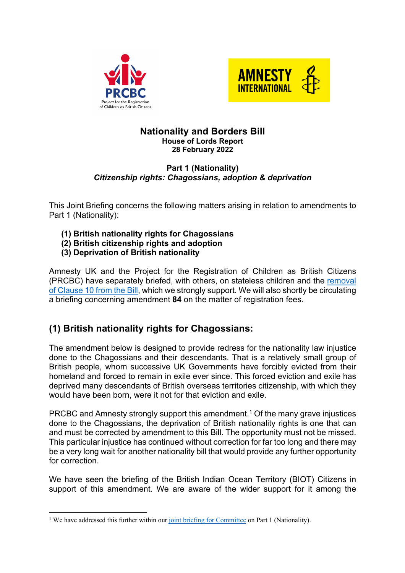



#### **Nationality and Borders Bill House of Lords Report 28 February 2022**

#### **Part 1 (Nationality)** *Citizenship rights: Chagossians, adoption & deprivation*

This Joint Briefing concerns the following matters arising in relation to amendments to Part 1 (Nationality):

- **(1) British nationality rights for Chagossians**
- **(2) British citizenship rights and adoption**
- **(3) Deprivation of British nationality**

Amnesty UK and the Project for the Registration of Children as British Citizens (PRCBC) have separately briefed, with others, on stateless children and the removal of Clause 10 from the Bill, which we strongly support. We will also shortly be circulating a briefing concerning amendment **84** on the matter of registration fees.

## **(1) British nationality rights for Chagossians:**

The amendment below is designed to provide redress for the nationality law injustice done to the Chagossians and their descendants. That is a relatively small group of British people, whom successive UK Governments have forcibly evicted from their homeland and forced to remain in exile ever since. This forced eviction and exile has deprived many descendants of British overseas territories citizenship, with which they would have been born, were it not for that eviction and exile.

PRCBC and Amnesty strongly support this amendment.1 Of the many grave injustices done to the Chagossians, the deprivation of British nationality rights is one that can and must be corrected by amendment to this Bill. The opportunity must not be missed. This particular injustice has continued without correction for far too long and there may be a very long wait for another nationality bill that would provide any further opportunity for correction.

We have seen the briefing of the British Indian Ocean Territory (BIOT) Citizens in support of this amendment. We are aware of the wider support for it among the

<sup>&</sup>lt;sup>1</sup> We have addressed this further within our joint briefing for Committee on Part 1 (Nationality).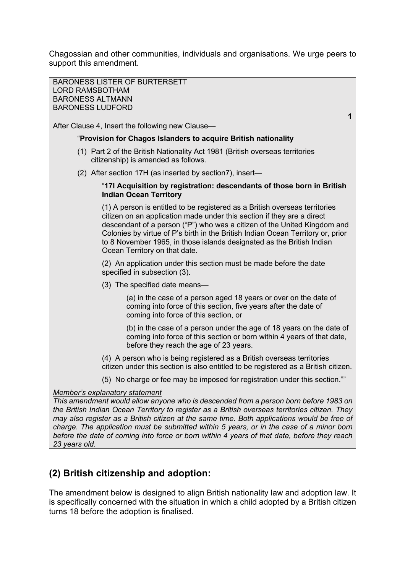Chagossian and other communities, individuals and organisations. We urge peers to support this amendment.

BARONESS LISTER OF BURTERSETT LORD RAMSBOTHAM BARONESS ALTMANN BARONESS LUDFORD **1** After Clause 4, Insert the following new Clause— "**Provision for Chagos Islanders to acquire British nationality**  (1) Part 2 of the British Nationality Act 1981 (British overseas territories citizenship) is amended as follows. (2) After section 17H (as inserted by section7), insert— "**17I Acquisition by registration: descendants of those born in British Indian Ocean Territory** (1) A person is entitled to be registered as a British overseas territories citizen on an application made under this section if they are a direct descendant of a person ("P") who was a citizen of the United Kingdom and Colonies by virtue of P's birth in the British Indian Ocean Territory or, prior to 8 November 1965, in those islands designated as the British Indian Ocean Territory on that date. (2) An application under this section must be made before the date specified in subsection (3). (3) The specified date means— (a) in the case of a person aged 18 years or over on the date of coming into force of this section, five years after the date of coming into force of this section, or (b) in the case of a person under the age of 18 years on the date of coming into force of this section or born within 4 years of that date, before they reach the age of 23 years. (4) A person who is being registered as a British overseas territories citizen under this section is also entitled to be registered as a British citizen. (5) No charge or fee may be imposed for registration under this section."" *Member's explanatory statement This amendment would allow anyone who is descended from a person born before 1983 on the British Indian Ocean Territory to register as a British overseas territories citizen. They may also register as a British citizen at the same time. Both applications would be free of charge. The application must be submitted within 5 years, or in the case of a minor born before the date of coming into force or born within 4 years of that date, before they reach 23 years old.*

### **(2) British citizenship and adoption:**

The amendment below is designed to align British nationality law and adoption law. It is specifically concerned with the situation in which a child adopted by a British citizen turns 18 before the adoption is finalised.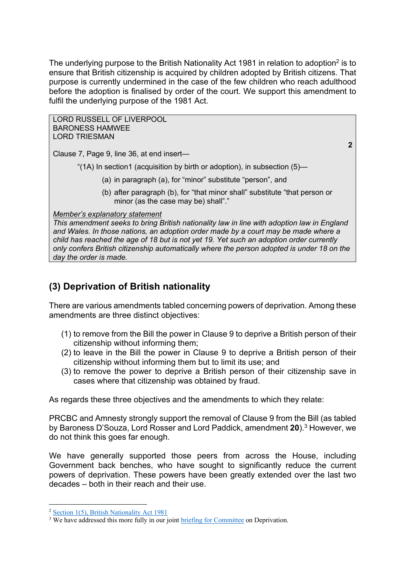The underlying purpose to the British Nationality Act 1981 in relation to adoption<sup>2</sup> is to ensure that British citizenship is acquired by children adopted by British citizens. That purpose is currently undermined in the case of the few children who reach adulthood before the adoption is finalised by order of the court. We support this amendment to fulfil the underlying purpose of the 1981 Act.

LORD RUSSELL OF LIVERPOOL BARONESS HAMWEE LORD TRIESMAN **2** Clause 7, Page 9, line 36, at end insert— "(1A) In section1 (acquisition by birth or adoption), in subsection (5)— (a) in paragraph (a), for "minor" substitute "person", and (b) after paragraph (b), for "that minor shall" substitute "that person or minor (as the case may be) shall"." *Member's explanatory statement This amendment seeks to bring British nationality law in line with adoption law in England and Wales. In those nations, an adoption order made by a court may be made where a child has reached the age of 18 but is not yet 19. Yet such an adoption order currently only confers British citizenship automatically where the person adopted is under 18 on the day the order is made.* 

# **(3) Deprivation of British nationality**

There are various amendments tabled concerning powers of deprivation. Among these amendments are three distinct objectives:

- (1) to remove from the Bill the power in Clause 9 to deprive a British person of their citizenship without informing them;
- (2) to leave in the Bill the power in Clause 9 to deprive a British person of their citizenship without informing them but to limit its use; and
- (3) to remove the power to deprive a British person of their citizenship save in cases where that citizenship was obtained by fraud.

As regards these three objectives and the amendments to which they relate:

PRCBC and Amnesty strongly support the removal of Clause 9 from the Bill (as tabled by Baroness D'Souza, Lord Rosser and Lord Paddick, amendment **20**).3 However, we do not think this goes far enough.

We have generally supported those peers from across the House, including Government back benches, who have sought to significantly reduce the current powers of deprivation. These powers have been greatly extended over the last two decades – both in their reach and their use.

<sup>&</sup>lt;sup>2</sup> Section 1(5), British Nationality Act 1981

<sup>&</sup>lt;sup>3</sup> We have addressed this more fully in our joint briefing for Committee on Deprivation.